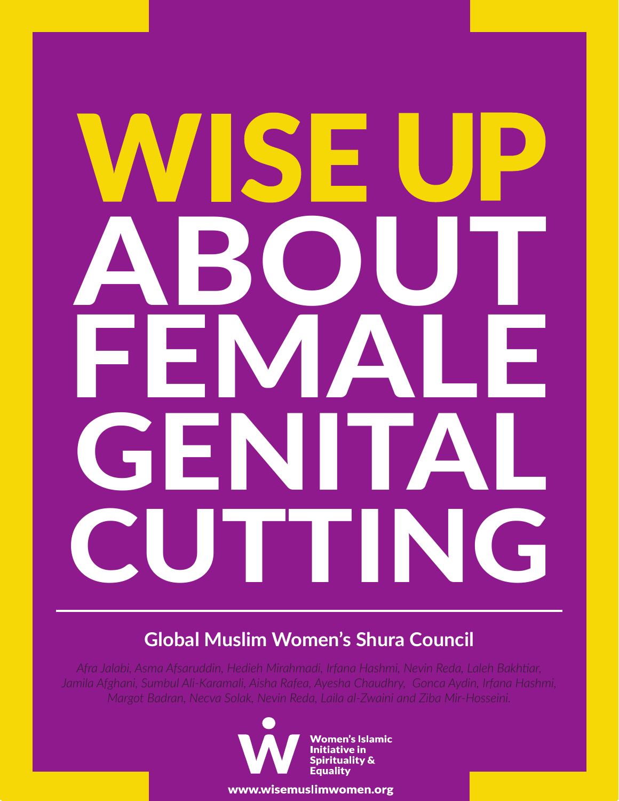# ABOUT FEMALE GENITAL CUTTING

### **Global Muslim Women's Shura Council**

*Afra Jalabi, Asma Afsaruddin, Hedieh Mirahmadi, Irfana Hashmi, Nevin Reda, Laleh Bakhtiar, Jamila Afghani, Sumbul Ali-Karamali, Aisha Rafea, Ayesha Chaudhry, Gonca Aydin, Irfana Hashmi, Margot Badran, Necva Solak, Nevin Reda, Laila al-Zwaini and Ziba Mir-Hosseini.*



www.wisemuslimwomen.org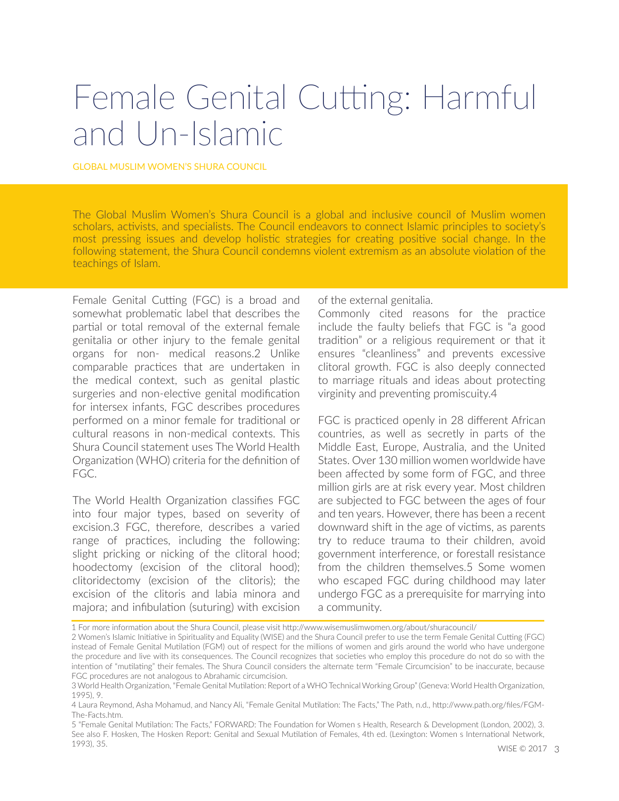## Female Genital Cutting: Harmful and Un-Islamic

#### GLOBAL MUSLIM WOMEN'S SHURA COUNCIL

The Global Muslim Women's Shura Council is a global and inclusive council of Muslim women scholars, activists, and specialists. The Council endeavors to connect Islamic principles to society's most pressing issues and develop holistic strategies for creating positive social change. In the following statement, the Shura Council condemns violent extremism as an absolute violation of the teachings of Islam.

Female Genital Cutting (FGC) is a broad and somewhat problematic label that describes the partial or total removal of the external female genitalia or other injury to the female genital organs for non- medical reasons.2 Unlike comparable practices that are undertaken in the medical context, such as genital plastic surgeries and non-elective genital modification for intersex infants, FGC describes procedures performed on a minor female for traditional or cultural reasons in non-medical contexts. This Shura Council statement uses The World Health Organization (WHO) criteria for the definition of FGC.

The World Health Organization classifies FGC into four major types, based on severity of excision.3 FGC, therefore, describes a varied range of practices, including the following: slight pricking or nicking of the clitoral hood; hoodectomy (excision of the clitoral hood); clitoridectomy (excision of the clitoris); the excision of the clitoris and labia minora and majora; and infibulation (suturing) with excision

of the external genitalia.

Commonly cited reasons for the practice include the faulty beliefs that FGC is "a good tradition" or a religious requirement or that it ensures "cleanliness" and prevents excessive clitoral growth. FGC is also deeply connected to marriage rituals and ideas about protecting virginity and preventing promiscuity.4

FGC is practiced openly in 28 different African countries, as well as secretly in parts of the Middle East, Europe, Australia, and the United States. Over 130 million women worldwide have been affected by some form of FGC, and three million girls are at risk every year. Most children are subjected to FGC between the ages of four and ten years. However, there has been a recent downward shift in the age of victims, as parents try to reduce trauma to their children, avoid government interference, or forestall resistance from the children themselves.5 Some women who escaped FGC during childhood may later undergo FGC as a prerequisite for marrying into a community.

<sup>1</sup> For more information about the Shura Council, please visit http://www.wisemuslimwomen.org/about/shuracouncil/

<sup>2</sup> Women's Islamic Initiative in Spirituality and Equality (WISE) and the Shura Council prefer to use the term Female Genital Cutting (FGC) instead of Female Genital Mutilation (FGM) out of respect for the millions of women and girls around the world who have undergone the procedure and live with its consequences. The Council recognizes that societies who employ this procedure do not do so with the intention of "mutilating" their females. The Shura Council considers the alternate term "Female Circumcision" to be inaccurate, because FGC procedures are not analogous to Abrahamic circumcision.

<sup>3</sup> World Health Organization, "Female Genital Mutilation: Report of a WHO Technical Working Group" (Geneva: World Health Organization, 1995), 9.

<sup>4</sup> Laura Reymond, Asha Mohamud, and Nancy Ali, "Female Genital Mutilation: The Facts," The Path, n.d., http://www.path.org/files/FGM-The-Facts.htm.

<sup>5 &</sup>quot;Female Genital Mutilation: The Facts," FORWARD: The Foundation for Women s Health, Research & Development (London, 2002), 3. See also F. Hosken, The Hosken Report: Genital and Sexual Mutilation of Females, 4th ed. (Lexington: Women s International Network, 1993), 35.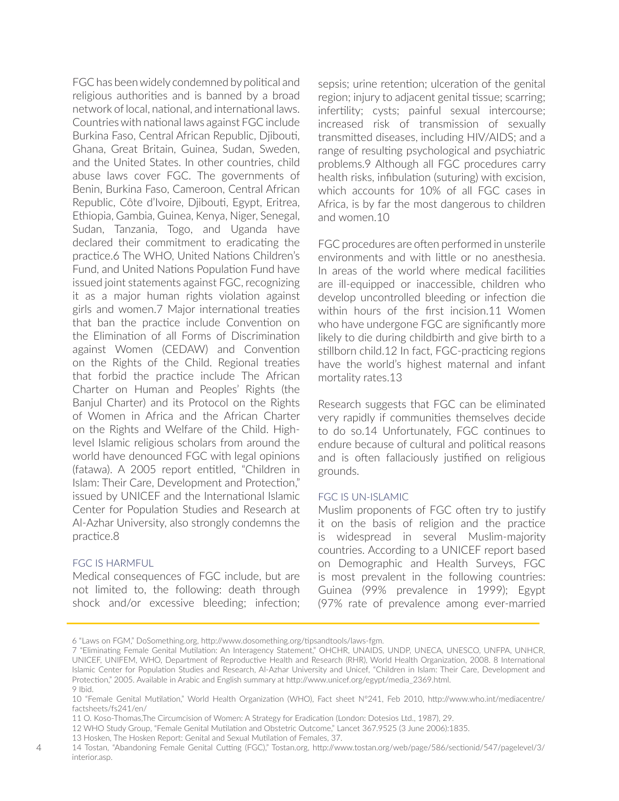FGC has been widely condemned by political and religious authorities and is banned by a broad network of local, national, and international laws. Countries with national laws against FGC include Burkina Faso, Central African Republic, Djibouti, Ghana, Great Britain, Guinea, Sudan, Sweden, and the United States. In other countries, child abuse laws cover FGC. The governments of Benin, Burkina Faso, Cameroon, Central African Republic, Côte d'Ivoire, Djibouti, Egypt, Eritrea, Ethiopia, Gambia, Guinea, Kenya, Niger, Senegal, Sudan, Tanzania, Togo, and Uganda have declared their commitment to eradicating the practice.6 The WHO, United Nations Children's Fund, and United Nations Population Fund have issued joint statements against FGC, recognizing it as a major human rights violation against girls and women.7 Major international treaties that ban the practice include Convention on the Elimination of all Forms of Discrimination against Women (CEDAW) and Convention on the Rights of the Child. Regional treaties that forbid the practice include The African Charter on Human and Peoples' Rights (the Banjul Charter) and its Protocol on the Rights of Women in Africa and the African Charter on the Rights and Welfare of the Child. Highlevel Islamic religious scholars from around the world have denounced FGC with legal opinions (fatawa). A 2005 report entitled, "Children in Islam: Their Care, Development and Protection," issued by UNICEF and the International Islamic Center for Population Studies and Research at Al-Azhar University, also strongly condemns the practice.8

#### FGC IS HARMFUL

Medical consequences of FGC include, but are not limited to, the following: death through shock and/or excessive bleeding; infection; sepsis; urine retention; ulceration of the genital region; injury to adjacent genital tissue; scarring; infertility; cysts; painful sexual intercourse; increased risk of transmission of sexually transmitted diseases, including HIV/AIDS; and a range of resulting psychological and psychiatric problems.9 Although all FGC procedures carry health risks, infibulation (suturing) with excision, which accounts for 10% of all FGC cases in Africa, is by far the most dangerous to children and women.10

FGC procedures are often performed in unsterile environments and with little or no anesthesia. In areas of the world where medical facilities are ill-equipped or inaccessible, children who develop uncontrolled bleeding or infection die within hours of the first incision.11 Women who have undergone FGC are significantly more likely to die during childbirth and give birth to a stillborn child.12 In fact, FGC-practicing regions have the world's highest maternal and infant mortality rates.13

Research suggests that FGC can be eliminated very rapidly if communities themselves decide to do so.14 Unfortunately, FGC continues to endure because of cultural and political reasons and is often fallaciously justified on religious grounds.

#### FGC IS UN-ISLAMIC

Muslim proponents of FGC often try to justify it on the basis of religion and the practice is widespread in several Muslim-majority countries. According to a UNICEF report based on Demographic and Health Surveys, FGC is most prevalent in the following countries: Guinea (99% prevalence in 1999); Egypt (97% rate of prevalence among ever-married

<sup>6 &</sup>quot;Laws on FGM," DoSomething.org, http://www.dosomething.org/tipsandtools/laws-fgm.

<sup>7 &</sup>quot;Eliminating Female Genital Mutilation: An Interagency Statement," OHCHR, UNAIDS, UNDP, UNECA, UNESCO, UNFPA, UNHCR, UNICEF, UNIFEM, WHO, Department of Reproductive Health and Research (RHR), World Health Organization, 2008. 8 International Islamic Center for Population Studies and Research, Al-Azhar University and Unicef, "Children in Islam: Their Care, Development and Protection," 2005. Available in Arabic and English summary at http://www.unicef.org/egypt/media\_2369.html. 9 Ibid.

<sup>10 &</sup>quot;Female Genital Mutilation," World Health Organization (WHO), Fact sheet N°241, Feb 2010, http://www.who.int/mediacentre/ factsheets/fs241/en/

<sup>11</sup> O. Koso-Thomas,The Circumcision of Women: A Strategy for Eradication (London: Dotesios Ltd., 1987), 29.

<sup>12</sup> WHO Study Group, "Female Genital Mutilation and Obstetric Outcome," Lancet 367.9525 (3 June 2006):1835.

<sup>13</sup> Hosken, The Hosken Report: Genital and Sexual Mutilation of Females, 37.

<sup>14</sup> Tostan, "Abandoning Female Genital Cutting (FGC)," Tostan.org, http://www.tostan.org/web/page/586/sectionid/547/pagelevel/3/ interior.asp.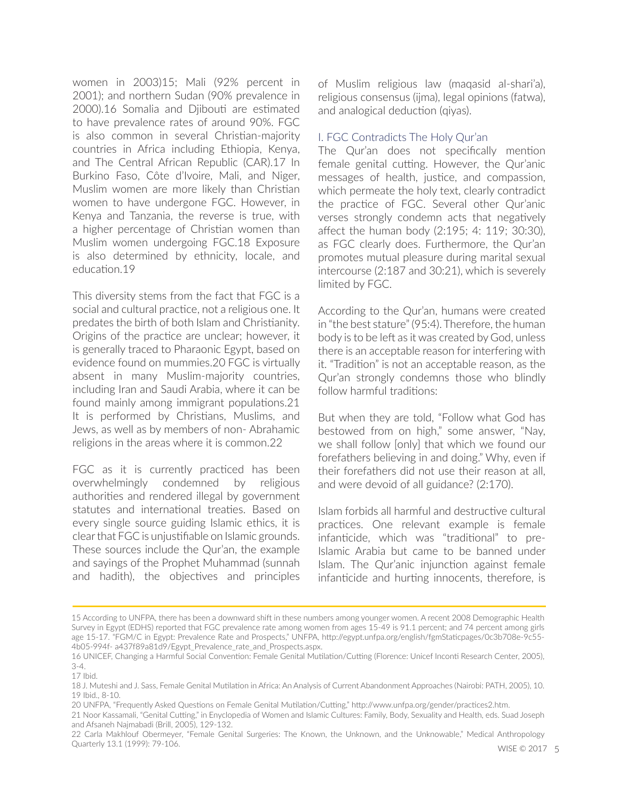women in 2003)15; Mali (92% percent in 2001); and northern Sudan (90% prevalence in 2000).16 Somalia and Djibouti are estimated to have prevalence rates of around 90%. FGC is also common in several Christian-majority countries in Africa including Ethiopia, Kenya, and The Central African Republic (CAR).17 In Burkino Faso, Côte d'Ivoire, Mali, and Niger, Muslim women are more likely than Christian women to have undergone FGC. However, in Kenya and Tanzania, the reverse is true, with a higher percentage of Christian women than Muslim women undergoing FGC.18 Exposure is also determined by ethnicity, locale, and education.19

This diversity stems from the fact that FGC is a social and cultural practice, not a religious one. It predates the birth of both Islam and Christianity. Origins of the practice are unclear; however, it is generally traced to Pharaonic Egypt, based on evidence found on mummies.20 FGC is virtually absent in many Muslim-majority countries, including Iran and Saudi Arabia, where it can be found mainly among immigrant populations.21 It is performed by Christians, Muslims, and Jews, as well as by members of non- Abrahamic religions in the areas where it is common.22

FGC as it is currently practiced has been overwhelmingly condemned by religious authorities and rendered illegal by government statutes and international treaties. Based on every single source guiding Islamic ethics, it is clear that FGC is unjustifiable on Islamic grounds. These sources include the Qur'an, the example and sayings of the Prophet Muhammad (sunnah and hadith), the objectives and principles

of Muslim religious law (maqasid al-shari'a), religious consensus (ijma), legal opinions (fatwa), and analogical deduction (qiyas).

#### I. FGC Contradicts The Holy Qur'an

The Qur'an does not specifically mention female genital cutting. However, the Qur'anic messages of health, justice, and compassion, which permeate the holy text, clearly contradict the practice of FGC. Several other Qur'anic verses strongly condemn acts that negatively affect the human body (2:195; 4: 119; 30:30), as FGC clearly does. Furthermore, the Qur'an promotes mutual pleasure during marital sexual intercourse (2:187 and 30:21), which is severely limited by FGC.

According to the Qur'an, humans were created in "the best stature" (95:4). Therefore, the human body is to be left as it was created by God, unless there is an acceptable reason for interfering with it. "Tradition" is not an acceptable reason, as the Qur'an strongly condemns those who blindly follow harmful traditions:

But when they are told, "Follow what God has bestowed from on high," some answer, "Nay, we shall follow [only] that which we found our forefathers believing in and doing." Why, even if their forefathers did not use their reason at all, and were devoid of all guidance? (2:170).

Islam forbids all harmful and destructive cultural practices. One relevant example is female infanticide, which was "traditional" to pre-Islamic Arabia but came to be banned under Islam. The Qur'anic injunction against female infanticide and hurting innocents, therefore, is

<sup>15</sup> According to UNFPA, there has been a downward shift in these numbers among younger women. A recent 2008 Demographic Health Survey in Egypt (EDHS) reported that FGC prevalence rate among women from ages 15-49 is 91.1 percent; and 74 percent among girls age 15-17. "FGM/C in Egypt: Prevalence Rate and Prospects," UNFPA, http://egypt.unfpa.org/english/fgmStaticpages/0c3b708e-9c55- 4b05-994f- a437f89a81d9/Egypt\_Prevalence\_rate\_and\_Prospects.aspx.

<sup>16</sup> UNICEF, Changing a Harmful Social Convention: Female Genital Mutilation/Cutting (Florence: Unicef Inconti Research Center, 2005), 3-4.

<sup>17</sup> Ibid.

<sup>18</sup> J. Muteshi and J. Sass, Female Genital Mutilation in Africa: An Analysis of Current Abandonment Approaches (Nairobi: PATH, 2005), 10. 19 Ibid., 8-10.

<sup>20</sup> UNFPA, "Frequently Asked Questions on Female Genital Mutilation/Cutting," http://www.unfpa.org/gender/practices2.htm.

<sup>21</sup> Noor Kassamali, "Genital Cutting," in Enyclopedia of Women and Islamic Cultures: Family, Body, Sexuality and Health, eds. Suad Joseph and Afsaneh Najmabadi (Brill, 2005), 129-132.

<sup>22</sup> Carla Makhlouf Obermeyer, "Female Genital Surgeries: The Known, the Unknown, and the Unknowable," Medical Anthropology Quarterly 13.1 (1999): 79-106.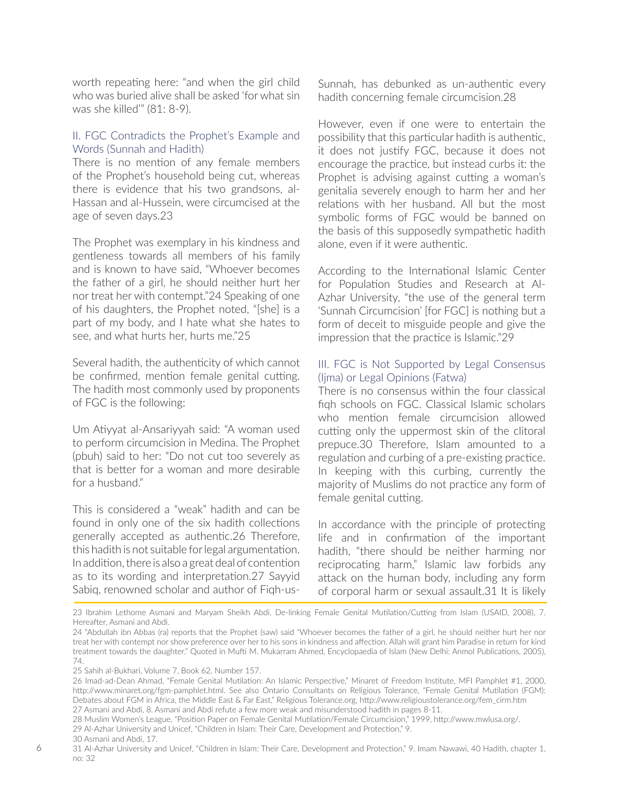worth repeating here: "and when the girl child who was buried alive shall be asked 'for what sin was she killed'" (81: 8-9).

#### II. FGC Contradicts the Prophet's Example and Words (Sunnah and Hadith)

There is no mention of any female members of the Prophet's household being cut, whereas there is evidence that his two grandsons, al-Hassan and al-Hussein, were circumcised at the age of seven days.23

The Prophet was exemplary in his kindness and gentleness towards all members of his family and is known to have said, "Whoever becomes the father of a girl, he should neither hurt her nor treat her with contempt."24 Speaking of one of his daughters, the Prophet noted, "[she] is a part of my body, and I hate what she hates to see, and what hurts her, hurts me."25

Several hadith, the authenticity of which cannot be confirmed, mention female genital cutting. The hadith most commonly used by proponents of FGC is the following:

Um Atiyyat al-Ansariyyah said: "A woman used to perform circumcision in Medina. The Prophet (pbuh) said to her: "Do not cut too severely as that is better for a woman and more desirable for a husband."

This is considered a "weak" hadith and can be found in only one of the six hadith collections generally accepted as authentic.26 Therefore, this hadith is not suitable for legal argumentation. In addition, there is also a great deal of contention as to its wording and interpretation.27 Sayyid Sabiq, renowned scholar and author of Fiqh-usSunnah, has debunked as un-authentic every hadith concerning female circumcision.28

However, even if one were to entertain the possibility that this particular hadith is authentic, it does not justify FGC, because it does not encourage the practice, but instead curbs it: the Prophet is advising against cutting a woman's genitalia severely enough to harm her and her relations with her husband. All but the most symbolic forms of FGC would be banned on the basis of this supposedly sympathetic hadith alone, even if it were authentic.

According to the International Islamic Center for Population Studies and Research at Al-Azhar University, "the use of the general term 'Sunnah Circumcision' [for FGC] is nothing but a form of deceit to misguide people and give the impression that the practice is Islamic."29

#### III. FGC is Not Supported by Legal Consensus (Ijma) or Legal Opinions (Fatwa)

There is no consensus within the four classical fiqh schools on FGC. Classical Islamic scholars who mention female circumcision allowed cutting only the uppermost skin of the clitoral prepuce.30 Therefore, Islam amounted to a regulation and curbing of a pre-existing practice. In keeping with this curbing, currently the majority of Muslims do not practice any form of female genital cutting.

In accordance with the principle of protecting life and in confirmation of the important hadith, "there should be neither harming nor reciprocating harm," Islamic law forbids any attack on the human body, including any form of corporal harm or sexual assault.31 It is likely

23 Ibrahim Lethome Asmani and Maryam Sheikh Abdi, De-linking Female Genital Mutilation/Cutting from Islam (USAID, 2008), 7. Hereafter, Asmani and Abdi.

29 Al-Azhar University and Unicef, "Children in Islam: Their Care, Development and Protection," 9.

<sup>24 &</sup>quot;Abdullah ibn Abbas (ra) reports that the Prophet (saw) said "Whoever becomes the father of a girl, he should neither hurt her nor treat her with contempt nor show preference over her to his sons in kindness and affection. Allah will grant him Paradise in return for kind treatment towards the daughter." Quoted in Mufti M. Mukarram Ahmed, Encyclopaedia of Islam (New Delhi: Anmol Publications, 2005), 74.

<sup>25</sup> Sahih al-Bukhari, Volume 7, Book 62, Number 157.

<sup>26</sup> Imad-ad-Dean Ahmad, "Female Genital Mutilation: An Islamic Perspective," Minaret of Freedom Institute, MFI Pamphlet #1, 2000, http://www.minaret.org/fgm-pamphlet.html. See also Ontario Consultants on Religious Tolerance, "Female Genital Mutilation (FGM): Debates about FGM in Africa, the Middle East & Far East," Religious Tolerance.org, http://www.religioustolerance.org/fem\_cirm.htm 27 Asmani and Abdi, 8. Asmani and Abdi refute a few more weak and misunderstood hadith in pages 8-11.

<sup>28</sup> Muslim Women's League, "Position Paper on Female Genital Mutilation/Female Circumcision," 1999, http://www.mwlusa.org/.

<sup>30</sup> Asmani and Abdi, 17.

<sup>31</sup> Al-Azhar University and Unicef, "Children in Islam: Their Care, Development and Protection," 9. Imam Nawawi, 40 Hadith, chapter 1, no: 32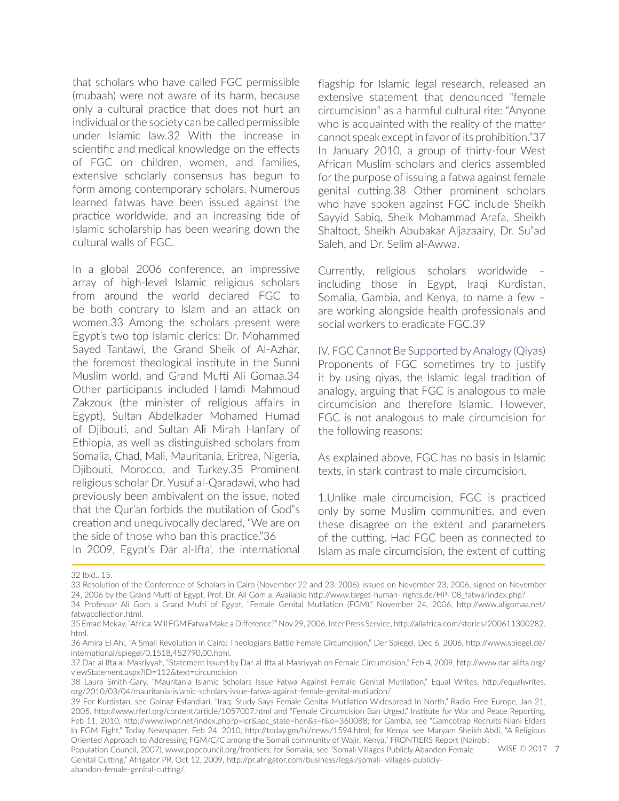that scholars who have called FGC permissible (mubaah) were not aware of its harm, because only a cultural practice that does not hurt an individual or the society can be called permissible under Islamic law.32 With the increase in scientific and medical knowledge on the effects of FGC on children, women, and families, extensive scholarly consensus has begun to form among contemporary scholars. Numerous learned fatwas have been issued against the practice worldwide, and an increasing tide of Islamic scholarship has been wearing down the cultural walls of FGC.

In a global 2006 conference, an impressive array of high-level Islamic religious scholars from around the world declared FGC to be both contrary to Islam and an attack on women.33 Among the scholars present were Egypt's two top Islamic clerics: Dr. Mohammed Sayed Tantawi, the Grand Sheik of Al-Azhar, the foremost theological institute in the Sunni Muslim world, and Grand Mufti Ali Gomaa.34 Other participants included Hamdi Mahmoud Zakzouk (the minister of religious affairs in Egypt), Sultan Abdelkader Mohamed Humad of Djibouti, and Sultan Ali Mirah Hanfary of Ethiopia, as well as distinguished scholars from Somalia, Chad, Mali, Mauritania, Eritrea, Nigeria, Djibouti, Morocco, and Turkey.35 Prominent religious scholar Dr. Yusuf al-Qaradawi, who had previously been ambivalent on the issue, noted that the Qur'an forbids the mutilation of God"s creation and unequivocally declared, "We are on the side of those who ban this practice."36

In 2009, Egypt's Dār al-Iftā', the international

flagship for Islamic legal research, released an extensive statement that denounced "female circumcision" as a harmful cultural rite: "Anyone who is acquainted with the reality of the matter cannot speak except in favor of its prohibition."37 In January 2010, a group of thirty-four West African Muslim scholars and clerics assembled for the purpose of issuing a fatwa against female genital cutting.38 Other prominent scholars who have spoken against FGC include Sheikh Sayyid Sabiq, Sheik Mohammad Arafa, Sheikh Shaltoot, Sheikh Abubakar Aljazaairy, Dr. Su"ad Saleh, and Dr. Selim al-Awwa.

Currently, religious scholars worldwide – including those in Egypt, Iraqi Kurdistan, Somalia, Gambia, and Kenya, to name a few – are working alongside health professionals and social workers to eradicate FGC.39

IV. FGC Cannot Be Supported by Analogy (Qiyas) Proponents of FGC sometimes try to justify it by using qiyas, the Islamic legal tradition of analogy, arguing that FGC is analogous to male circumcision and therefore Islamic. However, FGC is not analogous to male circumcision for the following reasons:

As explained above, FGC has no basis in Islamic texts, in stark contrast to male circumcision.

1.Unlike male circumcision, FGC is practiced only by some Muslim communities, and even these disagree on the extent and parameters of the cutting. Had FGC been as connected to Islam as male circumcision, the extent of cutting

32 Ibid., 15.

WISE © 2017 7 Population Council, 2007), www.popcouncil.org/frontiers; for Somalia, see "Somali Villages Publicly Abandon Female Genital Cutting," Afrigator PR, Oct 12, 2009, http://pr.afrigator.com/business/legal/somali- villages-publiclyabandon-female-genital-cutting/.

<sup>33</sup> Resolution of the Conference of Scholars in Cairo (November 22 and 23, 2006), issued on November 23, 2006, signed on November 24, 2006 by the Grand Mufti of Egypt, Prof. Dr. Ali Gom a. Available http://www.target-human- rights.de/HP- 08\_fatwa/index.php?

<sup>34</sup> Professor Ali Gom a Grand Mufti of Egypt, "Female Genital Mutilation (FGM)," November 24, 2006, http://www.aligomaa.net/ fatwacollection.html.

<sup>35</sup> Emad Mekay, "Africa: Will FGM Fatwa Make a Difference?" Nov 29, 2006, Inter Press Service, http://allafrica.com/stories/200611300282. html.

<sup>36</sup> Amira El Ahl, "A Small Revolution in Cairo: Theologians Battle Female Circumcision," Der Spiegel, Dec 6, 2006, http://www.spiegel.de/ international/spiegel/0,1518,452790,00.html.

<sup>37</sup> Dar-al Ifta al-Masriyyah, "Statement Issued by Dar-al-Ifta al-Masriyyah on Female Circumcision," Feb 4, 2009, http://www.dar-alifta.org/ viewStatement.aspx?ID=112&text=circumcision

<sup>38</sup> Laura Smith-Gary, "Mauritania Islamic Scholars Issue Fatwa Against Female Genital Mutilation," Equal Writes, http://equalwrites. org/2010/03/04/mauritania-islamic-scholars-issue-fatwa-against-female-genital-mutilation/

<sup>39</sup> For Kurdistan, see Golnaz Esfandiari, "Iraq: Study Says Female Genital Mutilation Widespread In North," Radio Free Europe, Jan 21, 2005, http://www.rferl.org/content/article/1057007.html and "Female Circumcision Ban Urged," Institute for War and Peace Reporting, Feb 11, 2010, http://www.iwpr.net/index.php?p=icr&apc\_state=hen&s=f&o=360088; for Gambia, see "Gamcotrap Recruits Niani Elders In FGM Fight," Today Newspaper, Feb 24, 2010, http://today.gm/hi/news/1594.html; for Kenya, see Maryam Sheikh Abdi, "A Religious Oriented Approach to Addressing FGM/C/C among the Somali community of Wajir, Kenya," FRONTIERS Report (Nairobi: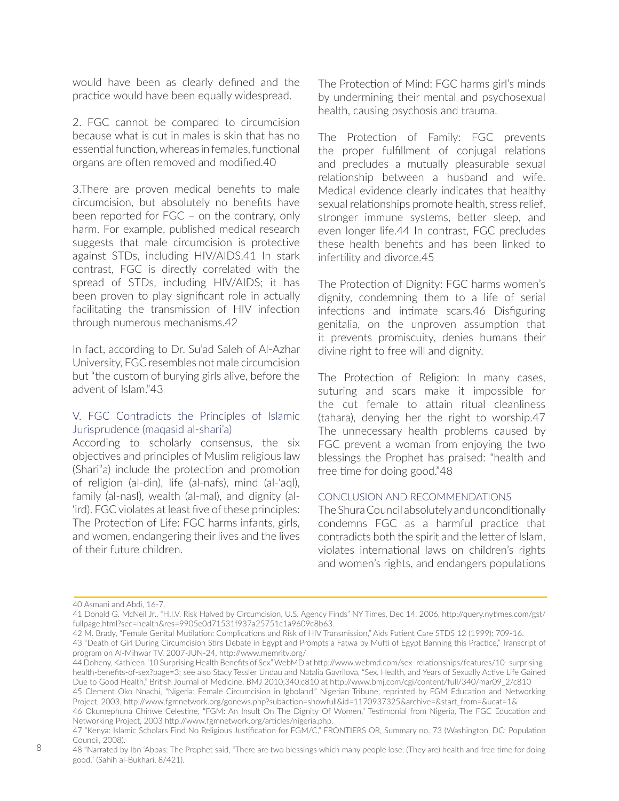would have been as clearly defined and the practice would have been equally widespread.

2. FGC cannot be compared to circumcision because what is cut in males is skin that has no essential function, whereas in females, functional organs are often removed and modified.40

3.There are proven medical benefits to male circumcision, but absolutely no benefits have been reported for FGC – on the contrary, only harm. For example, published medical research suggests that male circumcision is protective against STDs, including HIV/AIDS.41 In stark contrast, FGC is directly correlated with the spread of STDs, including HIV/AIDS; it has been proven to play significant role in actually facilitating the transmission of HIV infection through numerous mechanisms.42

In fact, according to Dr. Su'ad Saleh of Al-Azhar University, FGC resembles not male circumcision but "the custom of burying girls alive, before the advent of Islam."43

#### V. FGC Contradicts the Principles of Islamic Jurisprudence (maqasid al-shari'a)

According to scholarly consensus, the six objectives and principles of Muslim religious law (Shari"a) include the protection and promotion of religion (al-din), life (al-nafs), mind (al-'aql), family (al-nasl), wealth (al-mal), and dignity (al- 'ird). FGC violates at least five of these principles: The Protection of Life: FGC harms infants, girls, and women, endangering their lives and the lives of their future children.

The Protection of Mind: FGC harms girl's minds by undermining their mental and psychosexual health, causing psychosis and trauma.

The Protection of Family: FGC prevents the proper fulfillment of conjugal relations and precludes a mutually pleasurable sexual relationship between a husband and wife. Medical evidence clearly indicates that healthy sexual relationships promote health, stress relief, stronger immune systems, better sleep, and even longer life.44 In contrast, FGC precludes these health benefits and has been linked to infertility and divorce.45

The Protection of Dignity: FGC harms women's dignity, condemning them to a life of serial infections and intimate scars.46 Disfiguring genitalia, on the unproven assumption that it prevents promiscuity, denies humans their divine right to free will and dignity.

The Protection of Religion: In many cases, suturing and scars make it impossible for the cut female to attain ritual cleanliness (tahara), denying her the right to worship.47 The unnecessary health problems caused by FGC prevent a woman from enjoying the two blessings the Prophet has praised: "health and free time for doing good."48

#### CONCLUSION AND RECOMMENDATIONS

The Shura Council absolutely and unconditionally condemns FGC as a harmful practice that contradicts both the spirit and the letter of Islam, violates international laws on children's rights and women's rights, and endangers populations

46 Okumephuna Chinwe Celestine, "FGM: An Insult On The Dignity Of Women," Testimonial from Nigeria, The FGC Education and Networking Project, 2003 http://www.fgmnetwork.org/articles/nigeria.php.

<sup>40</sup> Asmani and Abdi, 16-7.

<sup>41</sup> Donald G. McNeil Jr., "H.I.V. Risk Halved by Circumcision, U.S. Agency Finds" NY Times, Dec 14, 2006, http://query.nytimes.com/gst/ fullpage.html?sec=health&res=9905e0d71531f937a25751c1a9609c8b63.

<sup>42</sup> M. Brady, "Female Genital Mutilation: Complications and Risk of HIV Transmission," Aids Patient Care STDS 12 (1999): 709-16. 43 "Death of Girl During Circumcision Stirs Debate in Egypt and Prompts a Fatwa by Mufti of Egypt Banning this Practice," Transcript of program on Al-Mihwar TV, 2007-JUN-24, http://www.memritv.org/

<sup>44</sup> Doheny, Kathleen "10 Surprising Health Benefits of Sex" WebMD at http://www.webmd.com/sex- relationships/features/10- surprisinghealth-benefits-of-sex?page=3; see also Stacy Tessler Lindau and Natalia Gavrilova, "Sex, Health, and Years of Sexually Active Life Gained Due to Good Health," British Journal of Medicine, BMJ 2010;340:c810 at http://www.bmj.com/cgi/content/full/340/mar09\_2/c810

<sup>45</sup> Clement Oko Nnachi, "Nigeria: Female Circumcision in Igboland," Nigerian Tribune, reprinted by FGM Education and Networking Project, 2003, http://www.fgmnetwork.org/gonews.php?subaction=showfull&id=1170937325&archive=&start\_from=&ucat=1&

<sup>47 &</sup>quot;Kenya: Islamic Scholars Find No Religious Justification for FGM/C," FRONTIERS OR, Summary no. 73 (Washington, DC: Population Council, 2008).

<sup>48 &</sup>quot;Narrated by Ibn 'Abbas: The Prophet said, "There are two blessings which many people lose: (They are) health and free time for doing good." (Sahih al-Bukhari, 8/421).